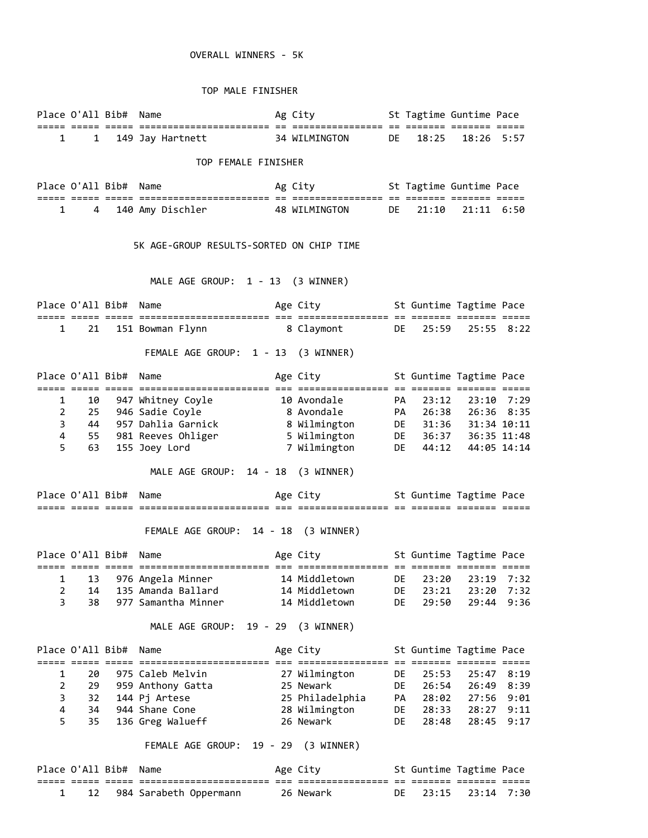## OVERALL WINNERS - 5K

## TOP MALE FINISHER

|                | Place O'All Bib# Name                    |  |                                                                             |  | Ag City 5t Tagtime Guntime Pace         |              |                         |                     |            |  |  |  |
|----------------|------------------------------------------|--|-----------------------------------------------------------------------------|--|-----------------------------------------|--------------|-------------------------|---------------------|------------|--|--|--|
|                | $1 \quad \blacksquare$                   |  | 1 149 Jay Hartnett 34 WILMINGTON DE 18:25 18:26 5:57                        |  |                                         |              |                         |                     |            |  |  |  |
|                |                                          |  | TOP FEMALE FINISHER                                                         |  |                                         |              |                         |                     |            |  |  |  |
|                | Place O'All Bib# Name                    |  |                                                                             |  | Ag City <b>St Tagtime Guntime Pace</b>  |              |                         |                     |            |  |  |  |
| 1              | 4                                        |  | 140 Amy Dischler                                                            |  | 48 WILMINGTON                           | DE           | 21:10                   | $21:11$ $6:50$      |            |  |  |  |
|                | 5K AGE-GROUP RESULTS-SORTED ON CHIP TIME |  |                                                                             |  |                                         |              |                         |                     |            |  |  |  |
|                |                                          |  | MALE AGE GROUP: 1 - 13 (3 WINNER)                                           |  |                                         |              |                         |                     |            |  |  |  |
|                | Place O'All Bib# Name                    |  |                                                                             |  | Age City <b>St Guntime Tagtime Pace</b> |              |                         |                     |            |  |  |  |
|                | $1 \quad$                                |  | 21 151 Bowman Flynn 8 Claymont                                              |  |                                         |              | DE D                    | 25:59 25:55 8:22    |            |  |  |  |
|                |                                          |  | FEMALE AGE GROUP: 1 - 13 (3 WINNER)                                         |  |                                         |              |                         |                     |            |  |  |  |
|                | Place O'All Bib# Name                    |  | anaa oola alaa adaalaadaalaadaalaada oo adaalaadaadaa oo adaada adaada ahaa |  | Age City                                |              | St Guntime Tagtime Pace |                     |            |  |  |  |
| $\mathbf{1}$   | 10                                       |  | 947 Whitney Coyle                                                           |  | 10 Avondale                             | PA           | 23:12                   |                     | 23:10 7:29 |  |  |  |
| $\overline{2}$ | 25                                       |  | 946 Sadie Coyle                                                             |  |                                         |              |                         |                     |            |  |  |  |
| 3              |                                          |  | 44 957 Dahlia Garnick                                                       |  |                                         |              |                         |                     |            |  |  |  |
| 4<br>5         | 63                                       |  | 55 981 Reeves Ohliger<br>155 Joey Lord                                      |  | 7 Wilmington                            | DE <b>DE</b> |                         | 44:12  44:05  14:14 |            |  |  |  |
|                |                                          |  | MALE AGE GROUP: 14 - 18 (3 WINNER)                                          |  |                                         |              |                         |                     |            |  |  |  |
|                | Place O'All Bib# Name                    |  |                                                                             |  | Age City 5t Guntime Tagtime Pace        |              |                         |                     |            |  |  |  |
|                |                                          |  | FEMALE AGE GROUP: 14 - 18 (3 WINNER)                                        |  |                                         |              |                         |                     |            |  |  |  |
|                | Place O'All Bib#                         |  | Name                                                                        |  | Age City                                |              | St Guntime Tagtime Pace |                     |            |  |  |  |
|                |                                          |  |                                                                             |  |                                         |              |                         |                     |            |  |  |  |
| 1              | 13                                       |  | 976 Angela Minner                                                           |  | 14 Middletown                           | DE           | 23:20                   |                     | 23:19 7:32 |  |  |  |
| $\overline{2}$ | 14                                       |  | 135 Amanda Ballard                                                          |  | 14 Middletown                           | DE           | 23:21                   | 23:20               | 7:32       |  |  |  |
| 3              | 38                                       |  | 977 Samantha Minner                                                         |  | 14 Middletown                           | DE           | 29:50                   | 29:44               | 9:36       |  |  |  |
|                |                                          |  | MALE AGE GROUP:                                                             |  | 19 - 29 (3 WINNER)                      |              |                         |                     |            |  |  |  |
|                | Place O'All Bib#                         |  | Name                                                                        |  | Age City                                |              | St Guntime Tagtime Pace |                     |            |  |  |  |
| 1              | 20                                       |  | 975 Caleb Melvin                                                            |  | 27 Wilmington                           | DE           | 25:53                   |                     | 25:47 8:19 |  |  |  |
| $\overline{2}$ | 29                                       |  | 959 Anthony Gatta                                                           |  | 25 Newark                               | DE           | 26:54                   |                     | 26:49 8:39 |  |  |  |
| 3              | 32                                       |  | 144 Pj Artese                                                               |  | 25 Philadelphia                         | PA           | 28:02                   |                     | 27:56 9:01 |  |  |  |
| 4              | 34                                       |  | 944 Shane Cone                                                              |  | 28 Wilmington                           | DE           |                         | 28:33 28:27 9:11    |            |  |  |  |
| 5              | 35                                       |  | 136 Greg Walueff                                                            |  | 26 Newark                               | DE           | 28:48                   |                     | 28:45 9:17 |  |  |  |
|                |                                          |  | FEMALE AGE GROUP: 19 - 29 (3 WINNER)                                        |  |                                         |              |                         |                     |            |  |  |  |
|                | Place O'All Bib# Name                    |  |                                                                             |  | Age City                                |              | St Guntime Tagtime Pace |                     |            |  |  |  |
|                |                                          |  |                                                                             |  |                                         |              |                         |                     |            |  |  |  |
| 1              | 12                                       |  | 984 Sarabeth Oppermann                                                      |  | 26 Newark                               | DE           | 23:15                   |                     | 23:14 7:30 |  |  |  |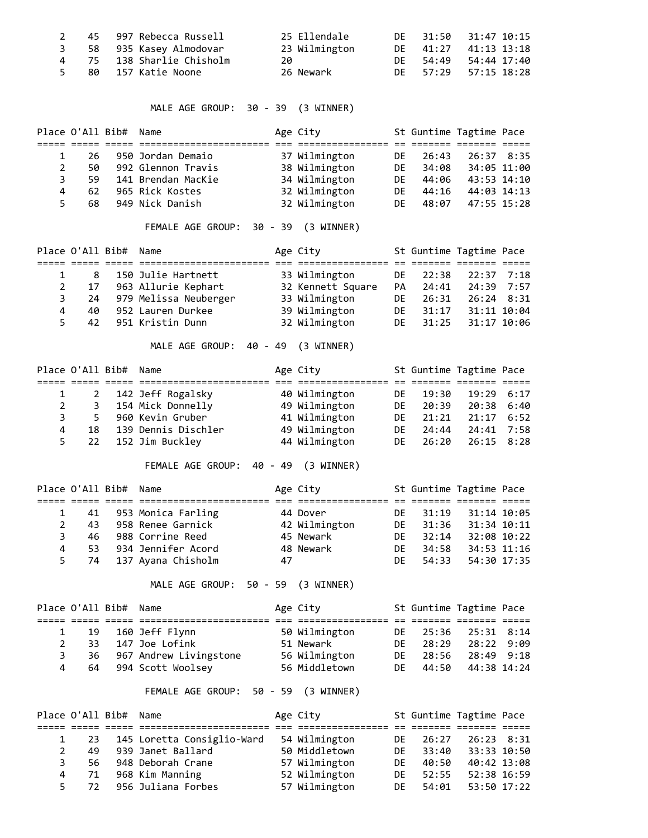|  | 2 45 997 Rebecca Russell  | 25 Ellendale  |  | DE 31:50 31:47 10:15 |
|--|---------------------------|---------------|--|----------------------|
|  | 3 58 935 Kasey Almodovar  | 23 Wilmington |  | DE 41:27 41:13 13:18 |
|  | 4 75 138 Sharlie Chisholm |               |  | DE 54:49 54:44 17:40 |
|  | 5 80 157 Katie Noone      | 26 Newark     |  | DE 57:29 57:15 18:28 |

MALE AGE GROUP: 30 - 39 (3 WINNER)

|              | Place O'All Bib# Name |                    | Age City      |     |       | St Guntime Tagtime Pace |  |
|--------------|-----------------------|--------------------|---------------|-----|-------|-------------------------|--|
|              |                       |                    |               |     |       |                         |  |
|              | 26.                   | 950 Jordan Demaio  | 37 Wilmington | DF. | 26:43 | 26:37 8:35              |  |
| $\mathbf{2}$ | 50                    | 992 Glennon Travis | 38 Wilmington | DF. | 34:08 | 34:05 11:00             |  |
| 3            | 59                    | 141 Brendan MacKie | 34 Wilmington | DF. | 44:06 | 43:53 14:10             |  |
| 4            | 62                    | 965 Rick Kostes    | 32 Wilmington | DF. | 44:16 | 44:03 14:13             |  |
| 5.           | 68                    | 949 Nick Danish    | 32 Wilmington | DE. | 48:07 | 47:55 15:28             |  |

## FEMALE AGE GROUP: 30 - 39 (3 WINNER)

|    | Place O'All Bib# Name |                          | Age City          |              |       | St Guntime Tagtime Pace |  |
|----|-----------------------|--------------------------|-------------------|--------------|-------|-------------------------|--|
|    |                       |                          |                   |              |       |                         |  |
|    | 8                     | 150 Julie Hartnett       | 33 Wilmington     | DE 1         | 22:38 | 22:37 7:18              |  |
|    | 17                    | 963 Allurie Kephart      | 32 Kennett Square | PA           | 24:41 | 24:39 7:57              |  |
|    |                       | 24 979 Melissa Neuberger | 33 Wilmington     | DF.          | 26:31 | $26:24$ 8:31            |  |
| 4  | 40                    | 952 Lauren Durkee        | 39 Wilmington     | DF.          | 31:17 | 31:11 10:04             |  |
| 5. |                       | 42 951 Kristin Dunn      | 32 Wilmington     | DE <b>DE</b> | 31:25 | 31:17 10:06             |  |

MALE AGE GROUP: 40 - 49 (3 WINNER)

|   | Place O'All Bib# Name |                     | Age City      |     |          | St Guntime Tagtime Pace |  |
|---|-----------------------|---------------------|---------------|-----|----------|-------------------------|--|
|   |                       |                     |               |     |          |                         |  |
|   | $\overline{2}$        | 142 Jeff Rogalsky   | 40 Wilmington | DE  | 19:30    | 19:29 6:17              |  |
|   |                       | 154 Mick Donnelly   | 49 Wilmington | DF. | 20:39    | 20:38 6:40              |  |
|   | 3<br>5.               | 960 Kevin Gruber    | 41 Wilmington |     | DE 21:21 | 21:17 6:52              |  |
| 4 | 18                    | 139 Dennis Dischler | 49 Wilmington | DF. | 24:44    | 24:41 7:58              |  |
|   | 22<br>5.              | 152 Jim Buckley     | 44 Wilmington | DF. | 26:20    | 26:15 8:28              |  |

FEMALE AGE GROUP: 40 - 49 (3 WINNER)

|              | Place O'All Bib# Name |                       |    | Age City      |     |          | St Guntime Tagtime Pace |  |
|--------------|-----------------------|-----------------------|----|---------------|-----|----------|-------------------------|--|
|              |                       |                       |    |               |     |          |                         |  |
|              | 41                    | 953 Monica Farling    |    | 44 Dover      |     | DF 31:19 | 31:14 10:05             |  |
| $\mathbf{2}$ | 43.                   | 958 Renee Garnick     |    | 42 Wilmington | DF. | 31:36    | 31:34 10:11             |  |
| 3            | 46.                   | 988 Corrine Reed      |    | 45 Newark     | DF. | 32:14    | 32:08 10:22             |  |
| 4            | -53.                  | 934 Jennifer Acord    |    | 48 Newark     | DF. | 34:58    | 34:53 11:16             |  |
|              | $5 -$                 | 74 137 Ayana Chisholm | 47 |               | DF. | 54:33    | 54:30 17:35             |  |

MALE AGE GROUP: 50 - 59 (3 WINNER)

|                | Place O'All Bib# Name |                           | Age City      |          | St Guntime Tagtime Pace |  |
|----------------|-----------------------|---------------------------|---------------|----------|-------------------------|--|
|                |                       |                           |               |          |                         |  |
|                |                       | 1 19 160 Jeff Flynn       | 50 Wilmington |          | DE 25:36 25:31 8:14     |  |
| $\overline{2}$ |                       | 33 147 Joe Lofink         | 51 Newark     | DF 28:29 | 28:22 9:09              |  |
| 3              |                       | 36 967 Andrew Livingstone | 56 Wilmington | DE 28:56 | 28:49 9:18              |  |
| 4              |                       | 64 994 Scott Woolsey      | 56 Middletown | DF 44:50 | 44:38 14:24             |  |

## FEMALE AGE GROUP: 50 - 59 (3 WINNER)

|              |                      | Place O'All Bib# Name |                            | Age City      |              |       | St Guntime Tagtime Pace |  |
|--------------|----------------------|-----------------------|----------------------------|---------------|--------------|-------|-------------------------|--|
|              |                      |                       |                            |               |              |       |                         |  |
|              | -23                  |                       | 145 Loretta Consiglio-Ward | 54 Wilmington | DF.          | 26:27 | $26:23$ 8:31            |  |
| $\mathbf{2}$ | 49                   |                       | 939 Janet Ballard          | 50 Middletown | DF.          | 33:40 | 33:33 10:50             |  |
| 3            | 56.                  |                       | 948 Deborah Crane          | 57 Wilmington | DF.          | 40:50 | 40:42 13:08             |  |
|              | 71<br>4              |                       | 968 Kim Manning            | 52 Wilmington | DF.          | 52:55 | 52:38 16:59             |  |
|              | 5 <sup>7</sup><br>72 |                       | 956 Juliana Forbes         | 57 Wilmington | DE <b>DE</b> | 54:01 | 53:50 17:22             |  |